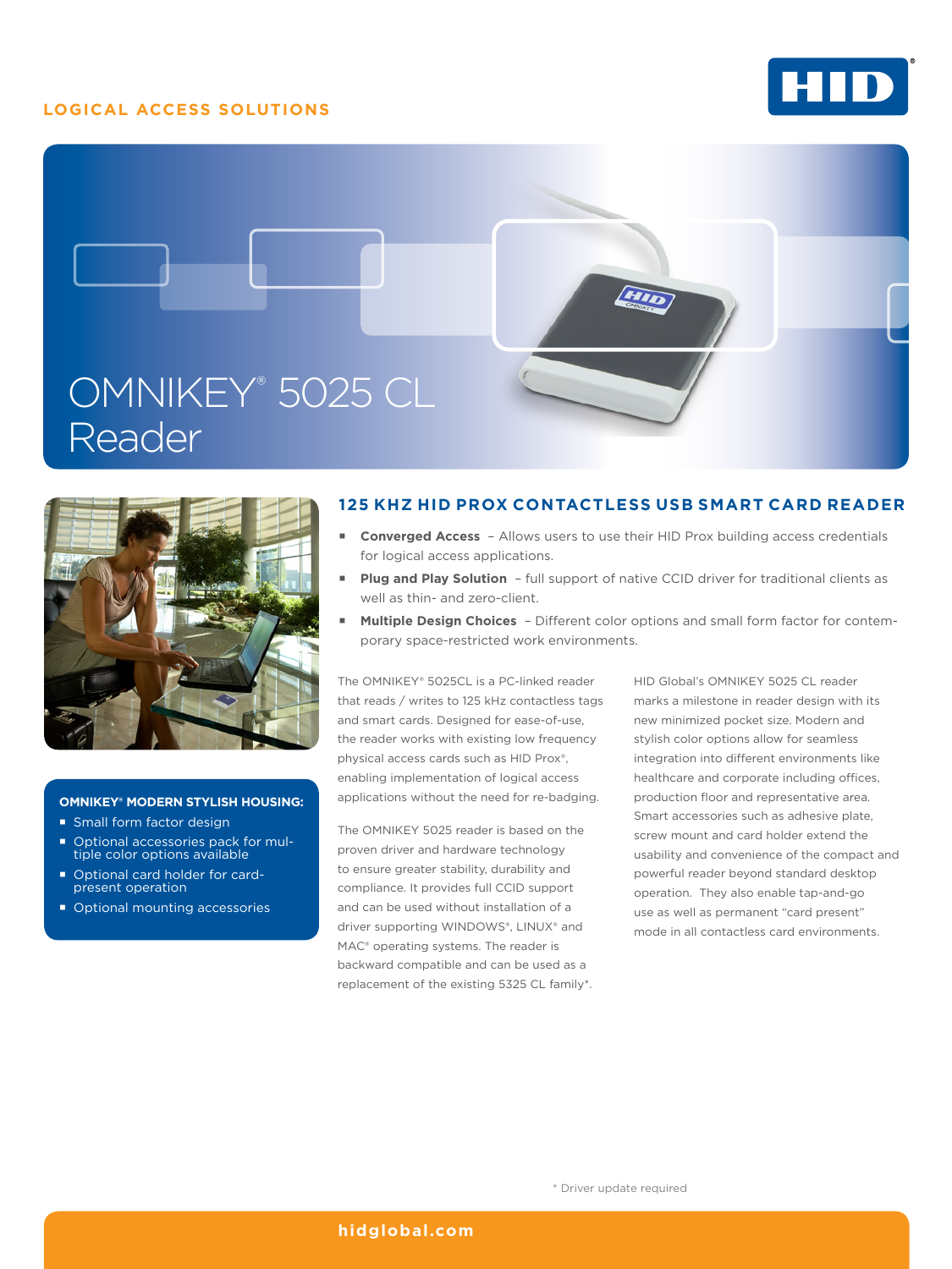# **LOGICAL ACCESS SOLUTIONS**







#### **OMNIKEY® MODERN STYLISH HOUSING:**

- **Small form factor design**
- Optional accessories pack for mul-tiple color options available
- Optional card holder for cardpresent operation
- Optional mounting accessories

## **125 KHZ HID PROX CONTACTLESS USB SMART CARD READER**

- **Converged Access** Allows users to use their HID Prox building access credentials for logical access applications.
- **Plug and Play Solution** full support of native CCID driver for traditional clients as well as thin- and zero-client.
- **Multiple Design Choices**  Different color options and small form factor for contemporary space-restricted work environments.

The OMNIKEY® 5025CL is a PC-linked reader that reads / writes to 125 kHz contactless tags and smart cards. Designed for ease-of-use, the reader works with existing low frequency physical access cards such as HID Prox®, enabling implementation of logical access applications without the need for re-badging.

The OMNIKEY 5025 reader is based on the proven driver and hardware technology to ensure greater stability, durability and compliance. It provides full CCID support and can be used without installation of a driver supporting WINDOWS®, LINUX® and MAC® operating systems. The reader is backward compatible and can be used as a replacement of the existing 5325 CL family\*. HID Global's OMNIKEY 5025 CL reader marks a milestone in reader design with its new minimized pocket size. Modern and stylish color options allow for seamless integration into different environments like healthcare and corporate including offices, production floor and representative area. Smart accessories such as adhesive plate, screw mount and card holder extend the usability and convenience of the compact and powerful reader beyond standard desktop operation. They also enable tap-and-go use as well as permanent "card present" mode in all contactless card environments.

### **[hidglobal.com](http://www.hidglobal.com)**